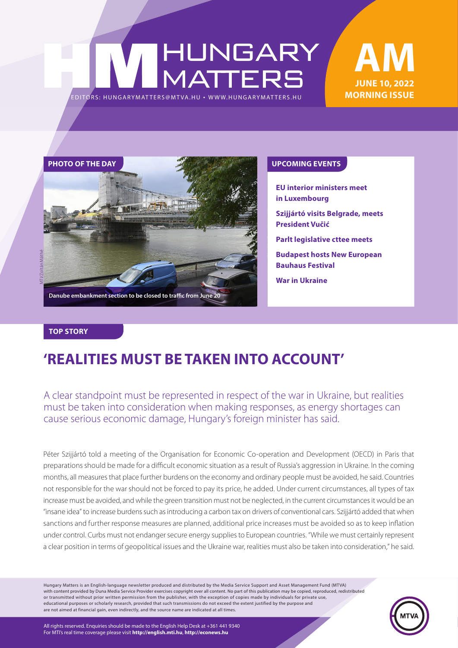# HUNGARY<br>MATTERS EDITORS: HUNGARYMAT TERS@MT VA.HU ¬ WWW.HUNGARYMAT TERS.HU

### **June 10, 2022 MORNING ISSUE AM**



**EU interior ministers meet in Luxembourg**

**Szijjártó visits Belgrade, meets President Vučić**

**Parlt legislative cttee meets**

**Budapest hosts New European Bauhaus Festival**

**War in Ukraine**

#### **TOP STORY**

### **'REALITIES MUST BE TAKEN INTO ACCOUNT'**

### A clear standpoint must be represented in respect of the war in Ukraine, but realities must be taken into consideration when making responses, as energy shortages can cause serious economic damage, Hungary's foreign minister has said.

Péter Szijjártó told a meeting of the Organisation for Economic Co-operation and Development (OECD) in Paris that preparations should be made for a difficult economic situation as a result of Russia's aggression in Ukraine. In the coming months, all measures that place further burdens on the economy and ordinary people must be avoided, he said. Countries not responsible for the war should not be forced to pay its price, he added. Under current circumstances, all types of tax increase must be avoided, and while the green transition must not be neglected, in the current circumstances it would be an "insane idea" to increase burdens such as introducing a carbon tax on drivers of conventional cars. Szijjártó added that when sanctions and further response measures are planned, additional price increases must be avoided so as to keep inflation under control. Curbs must not endanger secure energy supplies to European countries. "While we must certainly represent a clear position in terms of geopolitical issues and the Ukraine war, realities must also be taken into consideration," he said.

Hungary Matters is an English-language newsletter produced and distributed by the Media Service Support and Asset Management Fund (MTVA) with content provided by Duna Media Service Provider exercises copyright over all content. No part of this publication may be copied, reproduced, redistributed or transmitted without prior written permission from the publisher, with the exception of copies made by individuals for private use, educational purposes or scholarly research, provided that such transmissions do not exceed the extent justified by the purpose and are not aimed at financial gain, even indirectly, and the source name are indicated at all times.



All rights reserved. Enquiries should be made to the English Help Desk at +361 441 9340 For MTI's real time coverage please visit **http://english.mti.hu**, **http://econews.hu**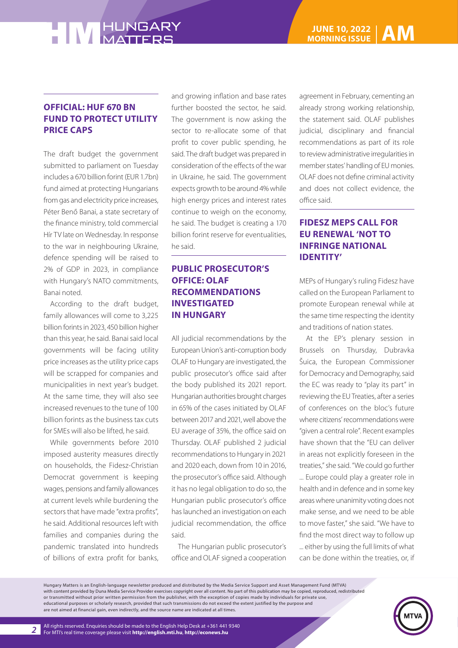#### **OFFICIAL: HUF 670 BN FUND TO PROTECT UTILITY PRICE CAPS**

The draft budget the government submitted to parliament on Tuesday includes a 670 billion forint (EUR 1.7bn) fund aimed at protecting Hungarians from gas and electricity price increases, Péter Benő Banai, a state secretary of the finance ministry, told commercial Hír TV late on Wednesday. In response to the war in neighbouring Ukraine, defence spending will be raised to 2% of GDP in 2023, in compliance with Hungary's NATO commitments, Banai noted.

According to the draft budget, family allowances will come to 3,225 billion forints in 2023, 450 billion higher than this year, he said. Banai said local governments will be facing utility price increases as the utility price caps will be scrapped for companies and municipalities in next year's budget. At the same time, they will also see increased revenues to the tune of 100 billion forints as the business tax cuts for SMEs will also be lifted, he said.

While governments before 2010 imposed austerity measures directly on households, the Fidesz-Christian Democrat government is keeping wages, pensions and family allowances at current levels while burdening the sectors that have made "extra profits", he said. Additional resources left with families and companies during the pandemic translated into hundreds of billions of extra profit for banks,

and growing inflation and base rates further boosted the sector, he said. The government is now asking the sector to re-allocate some of that profit to cover public spending, he said. The draft budget was prepared in consideration of the effects of the war in Ukraine, he said. The government expects growth to be around 4% while high energy prices and interest rates continue to weigh on the economy, he said. The budget is creating a 170 billion forint reserve for eventualities, he said.

#### **PUBLIC PROSECUTOR'S OFFICE: OLAF RECOMMENDATIONS INVESTIGATED IN HUNGARY**

All judicial recommendations by the European Union's anti-corruption body OLAF to Hungary are investigated, the public prosecutor's office said after the body published its 2021 report. Hungarian authorities brought charges in 65% of the cases initiated by OLAF between 2017 and 2021, well above the EU average of 35%, the office said on Thursday. OLAF published 2 judicial recommendations to Hungary in 2021 and 2020 each, down from 10 in 2016, the prosecutor's office said. Although it has no legal obligation to do so, the Hungarian public prosecutor's office has launched an investigation on each judicial recommendation, the office said.

The Hungarian public prosecutor's office and OLAF signed a cooperation

agreement in February, cementing an already strong working relationship, the statement said. OLAF publishes judicial, disciplinary and financial recommendations as part of its role to review administrative irregularities in member states' handling of EU monies. OLAF does not define criminal activity and does not collect evidence, the office said.

#### **FIDESZ MEPS CALL FOR EU RENEWAL 'NOT TO INFRINGE NATIONAL IDENTITY'**

MEPs of Hungary's ruling Fidesz have called on the European Parliament to promote European renewal while at the same time respecting the identity and traditions of nation states.

At the EP's plenary session in Brussels on Thursday, Dubravka Šuica, the European Commissioner for Democracy and Demography, said the EC was ready to "play its part" in reviewing the EU Treaties, after a series of conferences on the bloc's future where citizens' recommendations were "given a central role". Recent examples have shown that the "EU can deliver in areas not explicitly foreseen in the treaties," she said. "We could go further

... Europe could play a greater role in health and in defence and in some key areas where unanimity voting does not make sense, and we need to be able to move faster," she said. "We have to find the most direct way to follow up ... either by using the full limits of what can be done within the treaties, or, if

Hungary Matters is an English-language newsletter produced and distributed by the Media Service Support and Asset Management Fund (MTVA) with content provided by Duna Media Service Provider exercises copyright over all content. No part of this publication may be copied, reproduced, redistributed or transmitted without prior written permission from the publisher, with the exception of copies made by individuals for private use, educational purposes or scholarly research, provided that such transmissions do not exceed the extent justified by the purpose and are not aimed at financial gain, even indirectly, and the source name are indicated at all times.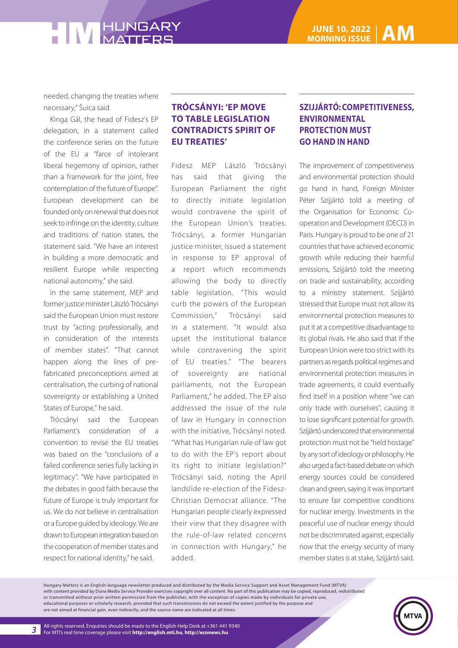needed, changing the treaties where necessary," Šuica said.

Kinga Gál, the head of Fidesz's EP delegation, in a statement called the conference series on the future of the EU a "farce of intolerant liberal hegemony of opinion, rather than a framework for the joint, free contemplation of the future of Europe". European development can be founded only on renewal that does not seek to infringe on the identity, culture and traditions of nation states, the statement said. "We have an interest in building a more democratic and resilient Europe while respecting national autonomy," she said.

In the same statement, MEP and former justice minister László Trócsányi said the European Union must restore trust by "acting professionally, and in consideration of the interests of member states". "That cannot happen along the lines of prefabricated preconceptions aimed at centralisation, the curbing of national sovereignty or establishing a United States of Europe," he said.

Trócsányi said the European Parliament's consideration of a convention to revise the EU treaties was based on the "conclusions of a failed conference series fully lacking in legitimacy". "We have participated in the debates in good faith because the future of Europe is truly important for us. We do not believe in centralisation or a Europe guided by ideology. We are drawn to European integration based on the cooperation of member states and respect for national identity," he said.

#### **TRÓCSÁNYI: 'EP MOVE TO TABLE LEGISLATION CONTRADICTS SPIRIT OF EU TREATIES'**

Fidesz MEP László Trócsányi has said that giving the European Parliament the right to directly initiate legislation would contravene the spirit of the European Union's treaties. Trócsányi, a former Hungarian justice minister, issued a statement in response to EP approval of a report which recommends allowing the body to directly table legislation. "This would curb the powers of the European Commission," Trócsányi said in a statement. "It would also upset the institutional balance while contravening the spirit of EU treaties." "The bearers of sovereignty are national parliaments, not the European Parliament," he added. The EP also addressed the issue of the rule of law in Hungary in connection with the initiative, Trócsányi noted. "What has Hungarian rule of law got to do with the EP's report about its right to initiate legislation?" Trócsányi said, noting the April landslide re-election of the Fidesz-Christian Democrat alliance. "The Hungarian people clearly expressed their view that they disagree with the rule-of-law related concerns in connection with Hungary," he added.

#### **SZIJJÁRTÓ: COMPETITIVENESS, ENVIRONMENTAL PROTECTION MUST GO HAND IN HAND**

The improvement of competitiveness and environmental protection should go hand in hand, Foreign Minister Péter Szijiártó told a meeting of the Organisation for Economic Cooperation and Development (OECD) in Paris. Hungary is proud to be one of 21 countries that have achieved economic growth while reducing their harmful emissions, Szijjártó told the meeting on trade and sustainability, according to a ministry statement. Szijjártó stressed that Europe must not allow its environmental protection measures to put it at a competitive disadvantage to its global rivals. He also said that if the European Union were too strict with its partners as regards political regimes and environmental protection measures in trade agreements, it could eventually find itself in a position where "we can only trade with ourselves", causing it to lose significant potential for growth. Szijjártó underscored that environmental protection must not be "held hostage" by any sort of ideology or philosophy. He also urged a fact-based debate on which energy sources could be considered clean and green, saying it was important to ensure fair competitive conditions for nuclear energy. Investments in the peaceful use of nuclear energy should not be discriminated against, especially now that the energy security of many member states is at stake, Szijjártó said.

Hungary Matters is an English-language newsletter produced and distributed by the Media Service Support and Asset Management Fund (MTVA) with content provided by Duna Media Service Provider exercises copyright over all content. No part of this publication may be copied, reproduced, redistributed or transmitted without prior written permission from the publisher, with the exception of copies made by individuals for private use, educational purposes or scholarly research, provided that such transmissions do not exceed the extent justified by the purpose and are not aimed at financial gain, even indirectly, and the source name are indicated at all times.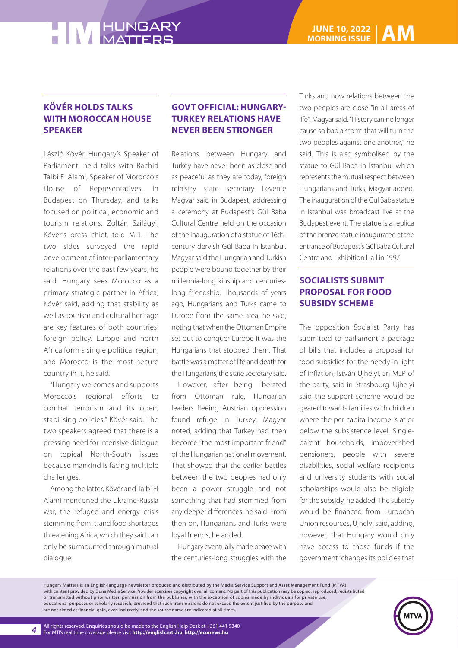#### **KÖVÉR HOLDS TALKS WITH MOROCCAN HOUSE SPEAKER**

László Kövér, Hungary's Speaker of Parliament, held talks with Rachid Talbi El Alami, Speaker of Morocco's House of Representatives, in Budapest on Thursday, and talks focused on political, economic and tourism relations, Zoltán Szilágyi, Köver's press chief, told MTI. The two sides surveyed the rapid development of inter-parliamentary relations over the past few years, he said. Hungary sees Morocco as a primary strategic partner in Africa, Kövér said, adding that stability as well as tourism and cultural heritage are key features of both countries' foreign policy. Europe and north Africa form a single political region, and Morocco is the most secure country in it, he said.

"Hungary welcomes and supports Morocco's regional efforts to combat terrorism and its open, stabilising policies," Kövér said. The two speakers agreed that there is a pressing need for intensive dialogue on topical North-South issues because mankind is facing multiple challenges.

Among the latter, Kövér and Talbi El Alami mentioned the Ukraine-Russia war, the refugee and energy crisis stemming from it, and food shortages threatening Africa, which they said can only be surmounted through mutual dialogue.

#### **GOVT OFFICIAL: HUNGARY-TURKEY RELATIONS HAVE NEVER BEEN STRONGER**

Relations between Hungary and Turkey have never been as close and as peaceful as they are today, foreign ministry state secretary Levente Magyar said in Budapest, addressing a ceremony at Budapest's Gül Baba Cultural Centre held on the occasion of the inauguration of a statue of 16thcentury dervish Gül Baba in Istanbul. Magyar said the Hungarian and Turkish people were bound together by their millennia-long kinship and centurieslong friendship. Thousands of years ago, Hungarians and Turks came to Europe from the same area, he said, noting that when the Ottoman Empire set out to conquer Europe it was the Hungarians that stopped them. That battle was a matter of life and death for the Hungarians, the state secretary said.

However, after being liberated from Ottoman rule, Hungarian leaders fleeing Austrian oppression found refuge in Turkey, Magyar noted, adding that Turkey had then become "the most important friend" of the Hungarian national movement. That showed that the earlier battles between the two peoples had only been a power struggle and not something that had stemmed from any deeper differences, he said. From then on, Hungarians and Turks were loyal friends, he added.

Hungary eventually made peace with the centuries-long struggles with the Turks and now relations between the two peoples are close "in all areas of life", Magyar said. "History can no longer cause so bad a storm that will turn the two peoples against one another," he said. This is also symbolised by the statue to Gül Baba in Istanbul which represents the mutual respect between Hungarians and Turks, Magyar added. The inauguration of the Gül Baba statue in Istanbul was broadcast live at the Budapest event. The statue is a replica of the bronze statue inaugurated at the entrance of Budapest's Gül Baba Cultural Centre and Exhibition Hall in 1997.

#### **SOCIALISTS SUBMIT PROPOSAL FOR FOOD SUBSIDY SCHEME**

The opposition Socialist Party has submitted to parliament a package of bills that includes a proposal for food subsidies for the needy in light of inflation, István Ujhelyi, an MEP of the party, said in Strasbourg. Ujhelyi said the support scheme would be geared towards families with children where the per capita income is at or below the subsistence level. Singleparent households, impoverished pensioners, people with severe disabilities, social welfare recipients and university students with social scholarships would also be eligible for the subsidy, he added. The subsidy would be financed from European Union resources, Ujhelyi said, adding, however, that Hungary would only have access to those funds if the government "changes its policies that

Hungary Matters is an English-language newsletter produced and distributed by the Media Service Support and Asset Management Fund (MTVA) with content provided by Duna Media Service Provider exercises copyright over all content. No part of this publication may be copied, reproduced, redistributed or transmitted without prior written permission from the publisher, with the exception of copies made by individuals for private use, educational purposes or scholarly research, provided that such transmissions do not exceed the extent justified by the purpose and are not aimed at financial gain, even indirectly, and the source name are indicated at all times.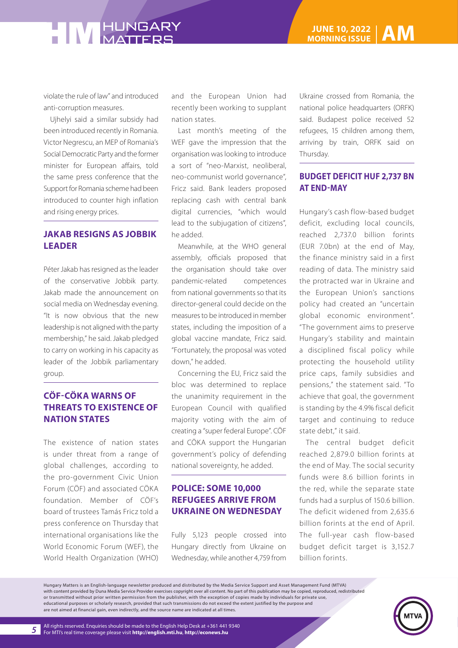violate the rule of law" and introduced anti-corruption measures.

Ujhelyi said a similar subsidy had been introduced recently in Romania. Victor Negrescu, an MEP of Romania's Social Democratic Party and the former minister for European affairs, told the same press conference that the Support for Romania scheme had been introduced to counter high inflation and rising energy prices.

#### **JAKAB RESIGNS AS JOBBIK LEADER**

Péter Jakab has resigned as the leader of the conservative Jobbik party. Jakab made the announcement on social media on Wednesday evening. "It is now obvious that the new leadership is not aligned with the party membership," he said. Jakab pledged to carry on working in his capacity as leader of the Jobbik parliamentary group.

#### **CÖF-CÖKA WARNS OF THREATS TO EXISTENCE OF NATION STATES**

The existence of nation states is under threat from a range of global challenges, according to the pro-government Civic Union Forum (CÖF) and associated CÖKA foundation. Member of CÖF's board of trustees Tamás Fricz told a press conference on Thursday that international organisations like the World Economic Forum (WEF), the World Health Organization (WHO)

and the European Union had recently been working to supplant nation states.

Last month's meeting of the WEF gave the impression that the organisation was looking to introduce a sort of "neo-Marxist, neoliberal, neo-communist world governance", Fricz said. Bank leaders proposed replacing cash with central bank digital currencies, "which would lead to the subjugation of citizens", he added.

Meanwhile, at the WHO general assembly, officials proposed that the organisation should take over pandemic-related competences from national governments so that its director-general could decide on the measures to be introduced in member states, including the imposition of a global vaccine mandate, Fricz said. "Fortunately, the proposal was voted down," he added.

Concerning the EU, Fricz said the bloc was determined to replace the unanimity requirement in the European Council with qualified majority voting with the aim of creating a "super federal Europe". CÖF and CÖKA support the Hungarian government's policy of defending national sovereignty, he added.

#### **POLICE: SOME 10,000 REFUGEES ARRIVE FROM UKRAINE ON WEDNESDAY**

Fully 5,123 people crossed into Hungary directly from Ukraine on Wednesday, while another 4,759 from Ukraine crossed from Romania, the national police headquarters (ORFK) said. Budapest police received 52 refugees, 15 children among them, arriving by train, ORFK said on Thursday.

#### **BUDGET DEFICIT HUF 2,737 BN AT END-MAY**

Hungary's cash flow-based budget deficit, excluding local councils, reached 2,737.0 billion forints (EUR 7.0bn) at the end of May, the finance ministry said in a first reading of data. The ministry said the protracted war in Ukraine and the European Union's sanctions policy had created an "uncertain global economic environment". "The government aims to preserve Hungary's stability and maintain a disciplined fiscal policy while protecting the household utility price caps, family subsidies and pensions," the statement said. "To achieve that goal, the government is standing by the 4.9% fiscal deficit target and continuing to reduce state debt," it said.

The central budget deficit reached 2,879.0 billion forints at the end of May. The social security funds were 8.6 billion forints in the red, while the separate state funds had a surplus of 150.6 billion. The deficit widened from 2,635.6 billion forints at the end of April. The full-year cash flow-based budget deficit target is 3,152.7 billion forints.

Hungary Matters is an English-language newsletter produced and distributed by the Media Service Support and Asset Management Fund (MTVA) with content provided by Duna Media Service Provider exercises copyright over all content. No part of this publication may be copied, reproduced, redistributed or transmitted without prior written permission from the publisher, with the exception of copies made by individuals for private use, educational purposes or scholarly research, provided that such transmissions do not exceed the extent justified by the purpose and are not aimed at financial gain, even indirectly, and the source name are indicated at all times.